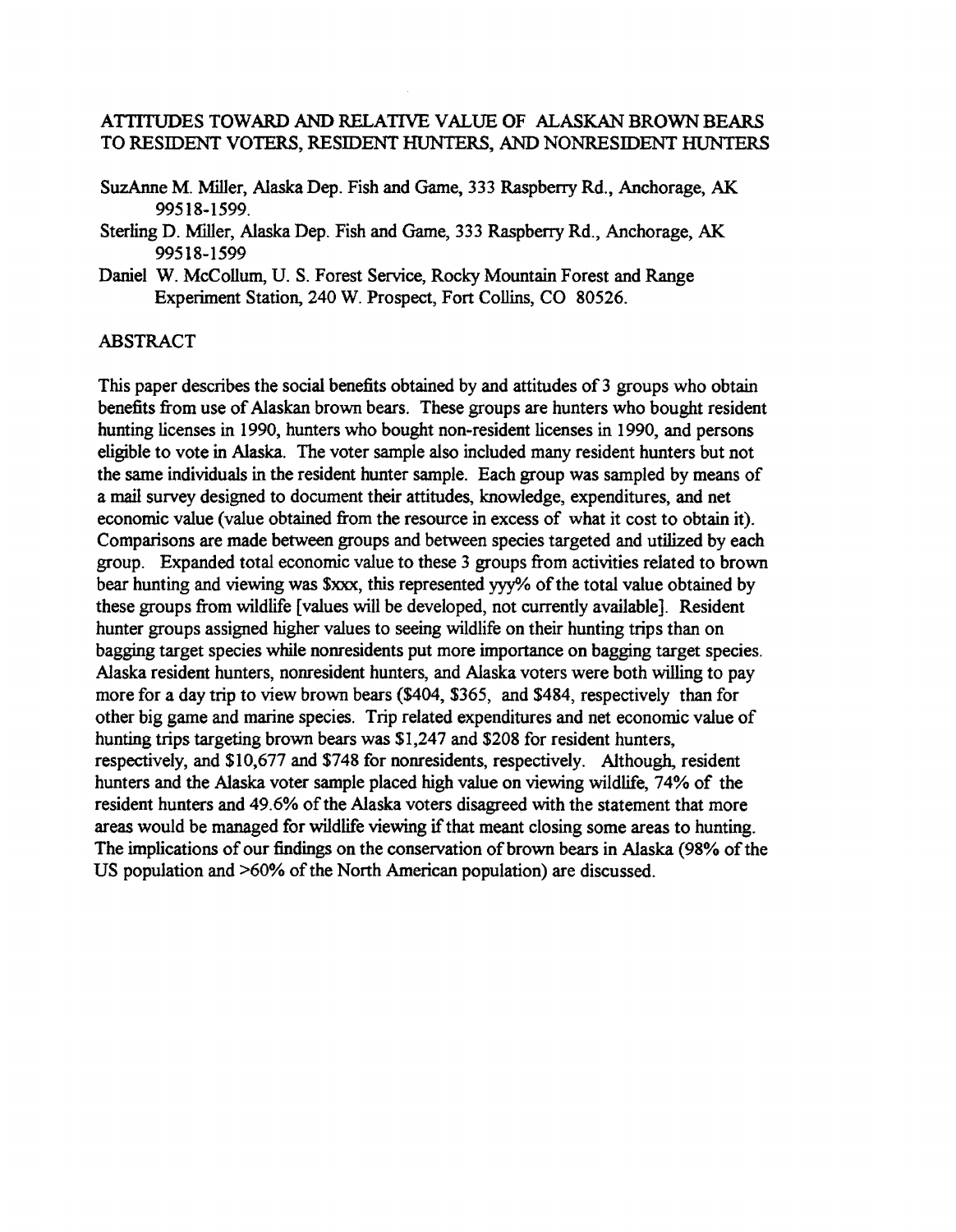### ATTITUDES TOWARD AND RELATIVE VALUE OF ALASKAN BROWN BEARS TO RESIDENT VOTERS, RESIDENT HUNTERS, AND NONRESIDENT HUNTERS

- SuzAnne M. Miller, Alaska Dep. Fish and Game, 333 Raspberry Rd., Anchorage, AK 99518·1599.
- Sterling D. Miller, Alaska Dep. Fish and Game, 333 Raspberry Rd., Anchorage, AK 99518·1599
- Daniel W. McCollum, U. S. Forest Service, Rocky Mountain Forest and Range Experiment Station, 240 W. Prospect, Fort Collins, CO 80526.

#### ABSTRACT

This paper describes the social benefits obtained by and attitudes of 3 groups who obtain benefits from use of Alaskan brown bears. These groups are hunters who bought resident hunting licenses in 1990, hunters who bought non·resident licenses in 1990, and persons eligible to vote in Alaska. The voter sample also included many resident hunters but not the same individuals in the resident hunter sample. Each group was sampled by means of a mail survey designed to document their attitudes, knowledge, expenditures, and net economic value (value obtained from the resource in excess of what it cost to obtain it). Comparisons are made between groups and between species targeted and utilized by each group. Expanded total economic value to these 3 groups from activities related to brown bear hunting and viewing was \$xxx, this represented yyy% of the total value obtained by these groups from wildlife [values will be developed, not currently available]. Resident hunter groups assigned higher values to seeing wildlife on their hunting trips than on bagging target species while nonresidents put more importance on bagging target species. Alaska resident hunters, nonresident hunters, and Alaska voters were both willing to pay more for a day trip to view brown bears (\$404, \$365, and \$484, respectively than for other big game and marine species. Trip related expenditures and net economic value of hunting trips targeting brown bears was \$1,247 and \$208 for resident hunters, respectively, and \$10,677 and \$748 for nonresidents, respectively. Although, resident hunters and the Alaska voter sample placed high value on viewing wildlife, 74% of the resident hunters and 49.6% of the Alaska voters disagreed with the statement that more areas would be managed for wildlife viewing if that meant closing some areas to hunting. The implications of our findings on the conservation of brown bears in Alaska (98% of the US population and  $>60\%$  of the North American population) are discussed.